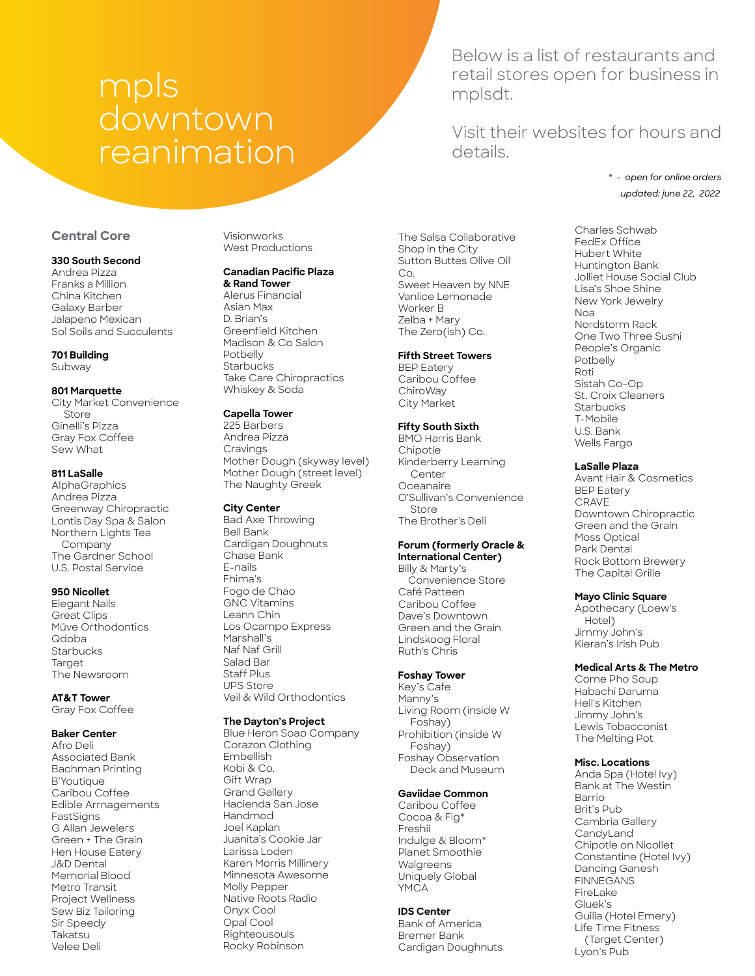# mpls downtown reanimation

Below is a list of restaurants and retail stores open for business in mplsdt.

Visit their websites for hours and details.

> *updated: june 22, 2022 \* - open for online orders*

# **Central Core**

#### **330 South Second**

Andrea Pizza Franks a Million China Kitchen Galaxy Barber Jalapeno Mexican Sol Soils and Succulents

# **701 Building**

Subway

#### **801 Marquette**

City Market Convenience **Store** Ginelli's Pizza Gray Fox Coffee Sew What

# **811 LaSalle**

**AlphaGraphics** Andrea Pizza Greenway Chiropractic Lontis Day Spa & Salon Northern Lights Tea Company The Gardner School U.S. Postal Service

#### **950 Nicollet**

Elegant Nails Great Clips Müve Orthodontics Qdoba **Starbucks Target** The Newsroom

# **AT&T Tower**

Gray Fox Coffee

# **Baker Center**

Afro Deli Associated Bank Bachman Printing B'Youtique Caribou Coffee Edible Arrnagements FastSigns G Allan Jewelers Green + The Grain Hen House Eatery J&D Dental Memorial Blood Metro Transit Project Wellness Sew Biz Tailoring Sir Speedy Takatsu Velee Deli

Visionworks West Productions

# **Canadian Pacific Plaza**

**& Rand Tower** Alerus Financial Asian Max D. Brian's Greenfield Kitchen Madison & Co Salon Potbelly **Starbucks** Take Care Chiropractics Whiskey & Soda

# **Capella Tower**

225 Barbers Andrea Pizza Cravings Mother Dough (skyway level) Mother Dough (street level) The Naughty Greek

#### **City Center**

Bad Axe Throwing Bell Bank Cardigan Doughnuts Chase Bank E-nails Fhima's Fogo de Chao GNC Vitamins Leann Chin Los Ocampo Express Marshall's Naf Naf Grill Salad Bar Staff Plus UPS Store Veil & Wild Orthodontics

#### **The Dayton's Project**

Blue Heron Soap Company Corazon Clothing Embellish Kobi & Co. Gift Wrap Grand Gallery Hacienda San Jose Handmod Joel Kaplan Juanita's Cookie Jar Larissa Loden Karen Morris Millinery Minnesota Awesome Molly Pepper Native Roots Radio Onyx Cool Opal Cool Righteousouls Rocky Robinson

The Salsa Collaborative Shop in the City Sutton Buttes Olive Oil Co. Sweet Heaven by NNE Vanlice Lemonade Worker B Zelba + Mary The Zero(ish) Co.

#### **Fifth Street Towers**

BEP Eatery Caribou Coffee ChiroWay City Market

# **Fifty South Sixth**

BMO Harris Bank Chipotle Kinderberry Learning **Center** Oceanaire O'Sullivan's Convenience **Store** The Brother's Deli

#### **Forum (formerly Oracle & International Center)**

Billy & Marty's Convenience Store Café Patteen Caribou Coffee Dave's Downtown Green and the Grain Lindskoog Floral Ruth's Chris

# **Foshay Tower**

Key's Cafe Manny's Living Room (inside W Foshay) Prohibition (inside W Foshay) Foshay Observation Deck and Museum

# **Gaviidae Common**

Caribou Coffee Cocoa & Fig\* Freshii Indulge & Bloom\* Planet Smoothie Walgreens Uniquely Global YMCA

# **IDS Center**

Bank of America Bremer Bank Cardigan Doughnuts

Charles Schwab FedEx Office Hubert White Huntington Bank Jolliet House Social Club Lisa's Shoe Shine New York Jewelry Noa Nordstorm Rack One Two Three Sushi People's Organic Potbelly Roti Sistah Co-Op St. Croix Cleaners **Starbucks** T-Mobile U.S. Bank Wells Fargo

# **LaSalle Plaza**

Avant Hair & Cosmetics BEP Eatery CRAVE Downtown Chiropractic Green and the Grain Moss Optical Park Dental Rock Bottom Brewery The Capital Grille

#### **Mayo Clinic Square**

Apothecary (Loew's Hotel) Jimmy John's Kieran's Irish Pub

# **Medical Arts & The Metro**

Come Pho Soup Habachi Daruma Hell's Kitchen Jimmy John's Lewis Tobacconist The Melting Pot

#### **Misc. Locations**

Anda Spa (Hotel Ivy) Bank at The Westin **Barrio** Brit's Pub Cambria Gallery **CandyLand** Chipotle on Nicollet Constantine (Hotel Ivy) Dancing Ganesh FINNEGANS FireLake Gluek's Guilia (Hotel Emery) Life Time Fitness (Target Center) Lyon's Pub